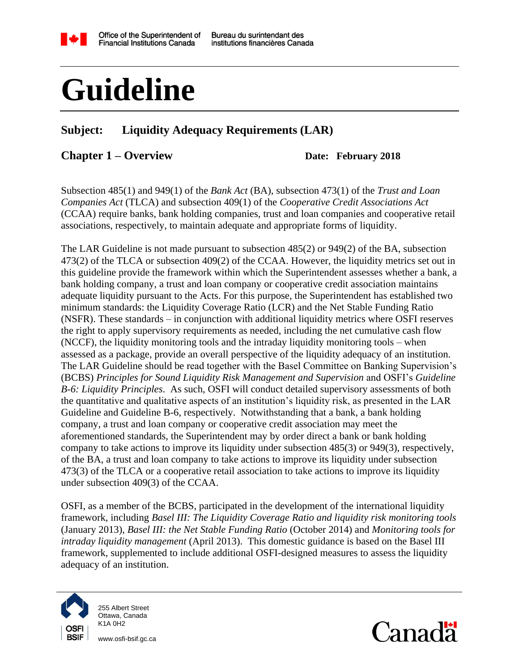

Bureau du surintendant des institutions financières Canada

# **Guideline**

#### **Subject: Liquidity Adequacy Requirements (LAR)**

#### **Chapter 1 – Overview Date: February 2018**

Subsection 485(1) and 949(1) of the *Bank Act* (BA), subsection 473(1) of the *Trust and Loan Companies Act* (TLCA) and subsection 409(1) of the *Cooperative Credit Associations Act* (CCAA) require banks, bank holding companies, trust and loan companies and cooperative retail associations, respectively, to maintain adequate and appropriate forms of liquidity.

The LAR Guideline is not made pursuant to subsection 485(2) or 949(2) of the BA, subsection 473(2) of the TLCA or subsection 409(2) of the CCAA. However, the liquidity metrics set out in this guideline provide the framework within which the Superintendent assesses whether a bank, a bank holding company, a trust and loan company or cooperative credit association maintains adequate liquidity pursuant to the Acts. For this purpose, the Superintendent has established two minimum standards: the Liquidity Coverage Ratio (LCR) and the Net Stable Funding Ratio (NSFR). These standards – in conjunction with additional liquidity metrics where OSFI reserves the right to apply supervisory requirements as needed, including the net cumulative cash flow (NCCF), the liquidity monitoring tools and the intraday liquidity monitoring tools – when assessed as a package, provide an overall perspective of the liquidity adequacy of an institution. The LAR Guideline should be read together with the Basel Committee on Banking Supervision's (BCBS) *Principles for Sound Liquidity Risk Management and Supervision* and OSFI's *Guideline B-6: Liquidity Principles*. As such, OSFI will conduct detailed supervisory assessments of both the quantitative and qualitative aspects of an institution's liquidity risk, as presented in the LAR Guideline and Guideline B-6, respectively. Notwithstanding that a bank, a bank holding company, a trust and loan company or cooperative credit association may meet the aforementioned standards, the Superintendent may by order direct a bank or bank holding company to take actions to improve its liquidity under subsection 485(3) or 949(3), respectively, of the BA, a trust and loan company to take actions to improve its liquidity under subsection 473(3) of the TLCA or a cooperative retail association to take actions to improve its liquidity under subsection 409(3) of the CCAA.

OSFI, as a member of the BCBS, participated in the development of the international liquidity framework, including *Basel III: The Liquidity Coverage Ratio and liquidity risk monitoring tools* (January 2013), *Basel III: the Net Stable Funding Ratio* (October 2014) and *Monitoring tools for intraday liquidity management* (April 2013). This domestic guidance is based on the Basel III framework, supplemented to include additional OSFI-designed measures to assess the liquidity adequacy of an institution.



255 Albert Street Ottawa, Canada K1A 0H2

www.osfi-bsif.gc.ca

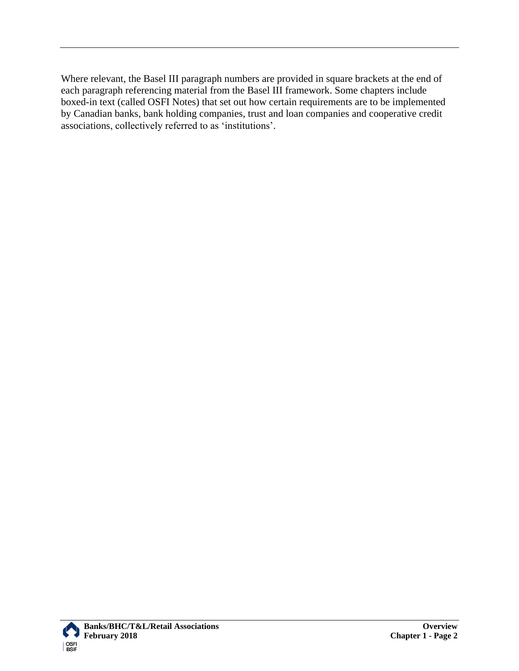Where relevant, the Basel III paragraph numbers are provided in square brackets at the end of each paragraph referencing material from the Basel III framework. Some chapters include boxed-in text (called OSFI Notes) that set out how certain requirements are to be implemented by Canadian banks, bank holding companies, trust and loan companies and cooperative credit associations, collectively referred to as 'institutions'.

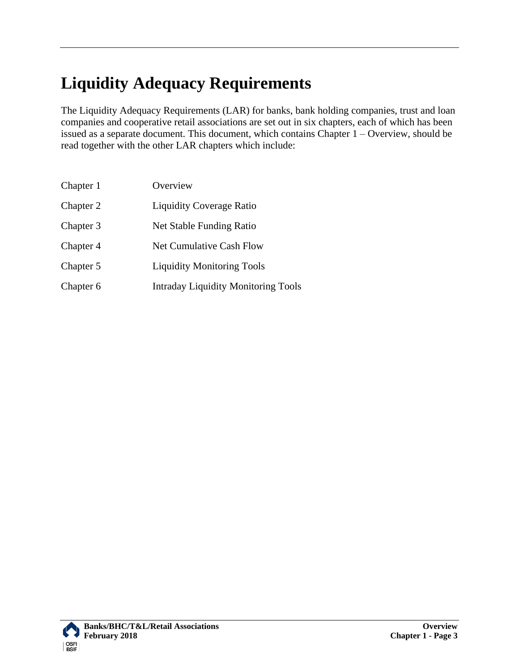# **Liquidity Adequacy Requirements**

The Liquidity Adequacy Requirements (LAR) for banks, bank holding companies, trust and loan companies and cooperative retail associations are set out in six chapters, each of which has been issued as a separate document. This document, which contains Chapter 1 – Overview, should be read together with the other LAR chapters which include:

| Chapter 1 | Overview                                   |
|-----------|--------------------------------------------|
| Chapter 2 | <b>Liquidity Coverage Ratio</b>            |
| Chapter 3 | Net Stable Funding Ratio                   |
| Chapter 4 | <b>Net Cumulative Cash Flow</b>            |
| Chapter 5 | <b>Liquidity Monitoring Tools</b>          |
| Chapter 6 | <b>Intraday Liquidity Monitoring Tools</b> |

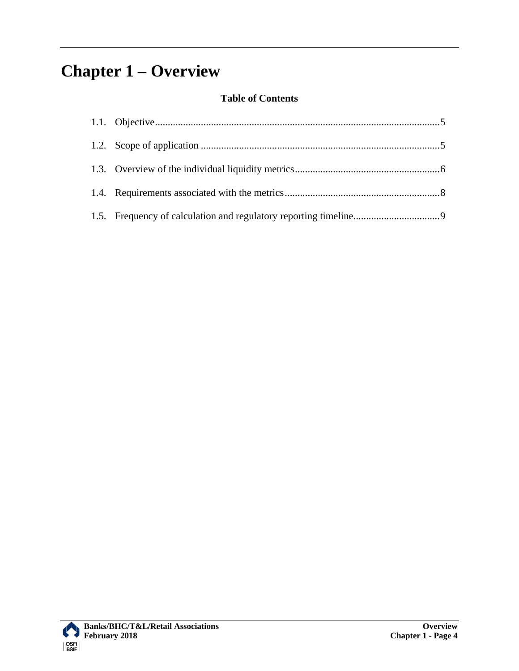# **Chapter 1 – Overview**

#### **Table of Contents**

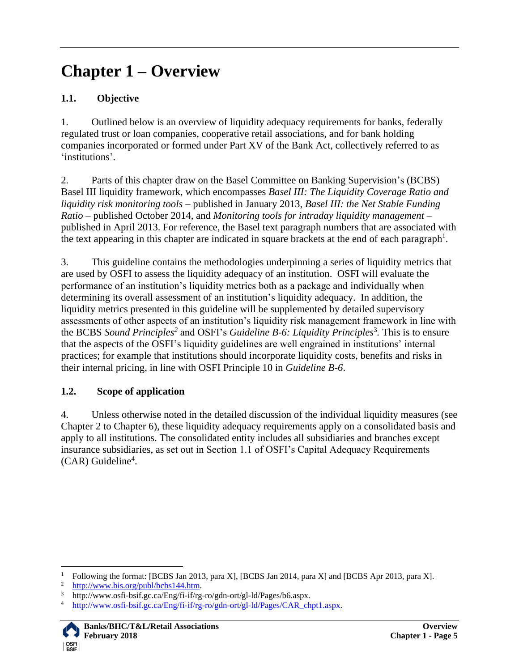## **Chapter 1 – Overview**

#### <span id="page-4-0"></span>**1.1. Objective**

1. Outlined below is an overview of liquidity adequacy requirements for banks, federally regulated trust or loan companies, cooperative retail associations, and for bank holding companies incorporated or formed under Part XV of the Bank Act, collectively referred to as 'institutions'.

2. Parts of this chapter draw on the Basel Committee on Banking Supervision's (BCBS) Basel III liquidity framework, which encompasses *Basel III: The Liquidity Coverage Ratio and liquidity risk monitoring tools* – published in January 2013, *Basel III: the Net Stable Funding Ratio* – published October 2014, and *Monitoring tools for intraday liquidity management* – published in April 2013. For reference, the Basel text paragraph numbers that are associated with the text appearing in this chapter are indicated in square brackets at the end of each paragraph<sup>1</sup>.

3. This guideline contains the methodologies underpinning a series of liquidity metrics that are used by OSFI to assess the liquidity adequacy of an institution. OSFI will evaluate the performance of an institution's liquidity metrics both as a package and individually when determining its overall assessment of an institution's liquidity adequacy. In addition, the liquidity metrics presented in this guideline will be supplemented by detailed supervisory assessments of other aspects of an institution's liquidity risk management framework in line with the BCBS *Sound Principles<sup>2</sup>* and OSFI's *Guideline B-6: Liquidity Principles*<sup>3</sup> *.* This is to ensure that the aspects of the OSFI's liquidity guidelines are well engrained in institutions' internal practices; for example that institutions should incorporate liquidity costs, benefits and risks in their internal pricing, in line with OSFI Principle 10 in *Guideline B-6*.

#### <span id="page-4-1"></span>**1.2. Scope of application**

4. Unless otherwise noted in the detailed discussion of the individual liquidity measures (see Chapter 2 to Chapter 6), these liquidity adequacy requirements apply on a consolidated basis and apply to all institutions. The consolidated entity includes all subsidiaries and branches except insurance subsidiaries, as set out in Section 1.1 of OSFI's Capital Adequacy Requirements (CAR) Guideline<sup>4</sup>.

 $\overline{\phantom{a}}$ 

<sup>&</sup>lt;sup>1</sup> Following the format: [BCBS Jan 2013, para X], [BCBS Jan 2014, para X] and [BCBS Apr 2013, para X].

 $\frac{2}{3}$  [http://www.bis.org/publ/bcbs144.htm.](http://www.bis.org/publ/bcbs144.htm)

<sup>&</sup>lt;sup>3</sup> http://www.osfi-bsif.gc.ca/Eng/fi-if/rg-ro/gdn-ort/gl-ld/Pages/b6.aspx.<br><sup>4</sup> http://www.osfi.bsif.gc.ca/Eng/fi-if/rg-ro/gdn-ort/gl-ld/Pages/CAP-ch

[http://www.osfi-bsif.gc.ca/Eng/fi-if/rg-ro/gdn-ort/gl-ld/Pages/CAR\\_chpt1.aspx.](http://www.osfi-bsif.gc.ca/Eng/fi-if/rg-ro/gdn-ort/gl-ld/Pages/CAR_chpt1.aspx)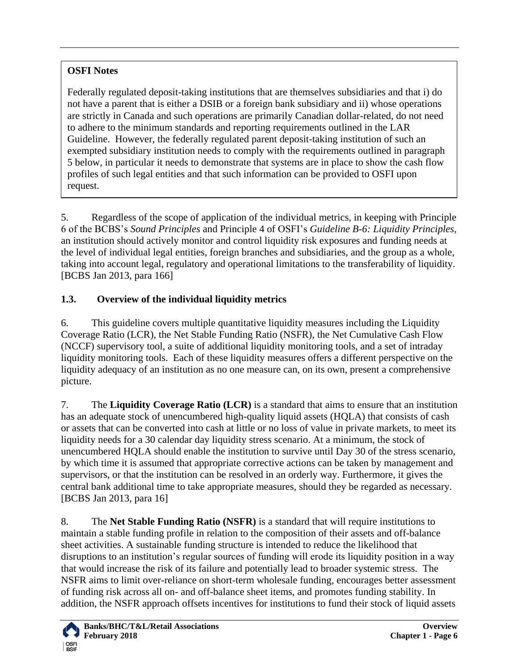#### **OSFI Notes**

Federally regulated deposit-taking institutions that are themselves subsidiaries and that i) do not have a parent that is either a DSIB or a foreign bank subsidiary and ii) whose operations are strictly in Canada and such operations are primarily Canadian dollar-related, do not need to adhere to the minimum standards and reporting requirements outlined in the LAR Guideline. However, the federally regulated parent deposit-taking institution of such an exempted subsidiary institution needs to comply with the requirements outlined in paragraph 5 below, in particular it needs to demonstrate that systems are in place to show the cash flow profiles of such legal entities and that such information can be provided to OSFI upon request.

5. Regardless of the scope of application of the individual metrics, in keeping with Principle 6 of the BCBS's *Sound Principles* and Principle 4 of OSFI's *Guideline B-6: Liquidity Principles*, an institution should actively monitor and control liquidity risk exposures and funding needs at the level of individual legal entities, foreign branches and subsidiaries, and the group as a whole, taking into account legal, regulatory and operational limitations to the transferability of liquidity. [BCBS Jan 2013, para 166]

#### <span id="page-5-0"></span>**1.3. Overview of the individual liquidity metrics**

6. This guideline covers multiple quantitative liquidity measures including the Liquidity Coverage Ratio (LCR), the Net Stable Funding Ratio (NSFR), the Net Cumulative Cash Flow (NCCF) supervisory tool, a suite of additional liquidity monitoring tools, and a set of intraday liquidity monitoring tools. Each of these liquidity measures offers a different perspective on the liquidity adequacy of an institution as no one measure can, on its own, present a comprehensive picture.

7. The **Liquidity Coverage Ratio (LCR)** is a standard that aims to ensure that an institution has an adequate stock of unencumbered high-quality liquid assets (HQLA) that consists of cash or assets that can be converted into cash at little or no loss of value in private markets, to meet its liquidity needs for a 30 calendar day liquidity stress scenario. At a minimum, the stock of unencumbered HQLA should enable the institution to survive until Day 30 of the stress scenario, by which time it is assumed that appropriate corrective actions can be taken by management and supervisors, or that the institution can be resolved in an orderly way. Furthermore, it gives the central bank additional time to take appropriate measures, should they be regarded as necessary. [BCBS Jan 2013, para 16]

8. The **Net Stable Funding Ratio (NSFR)** is a standard that will require institutions to maintain a stable funding profile in relation to the composition of their assets and off-balance sheet activities. A sustainable funding structure is intended to reduce the likelihood that disruptions to an institution's regular sources of funding will erode its liquidity position in a way that would increase the risk of its failure and potentially lead to broader systemic stress. The NSFR aims to limit over-reliance on short-term wholesale funding, encourages better assessment of funding risk across all on- and off-balance sheet items, and promotes funding stability. In addition, the NSFR approach offsets incentives for institutions to fund their stock of liquid assets

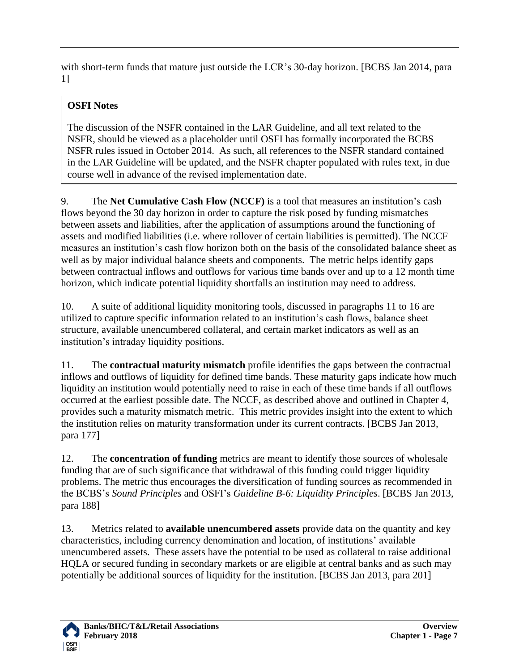with short-term funds that mature just outside the LCR's 30-day horizon. [BCBS Jan 2014, para 1]

### **OSFI Notes**

The discussion of the NSFR contained in the LAR Guideline, and all text related to the NSFR, should be viewed as a placeholder until OSFI has formally incorporated the BCBS NSFR rules issued in October 2014. As such, all references to the NSFR standard contained in the LAR Guideline will be updated, and the NSFR chapter populated with rules text, in due course well in advance of the revised implementation date.

9. The **Net Cumulative Cash Flow (NCCF)** is a tool that measures an institution's cash flows beyond the 30 day horizon in order to capture the risk posed by funding mismatches between assets and liabilities, after the application of assumptions around the functioning of assets and modified liabilities (i.e. where rollover of certain liabilities is permitted). The NCCF measures an institution's cash flow horizon both on the basis of the consolidated balance sheet as well as by major individual balance sheets and components. The metric helps identify gaps between contractual inflows and outflows for various time bands over and up to a 12 month time horizon, which indicate potential liquidity shortfalls an institution may need to address.

10. A suite of additional liquidity monitoring tools, discussed in paragraphs 11 to 16 are utilized to capture specific information related to an institution's cash flows, balance sheet structure, available unencumbered collateral, and certain market indicators as well as an institution's intraday liquidity positions.

11. The **contractual maturity mismatch** profile identifies the gaps between the contractual inflows and outflows of liquidity for defined time bands. These maturity gaps indicate how much liquidity an institution would potentially need to raise in each of these time bands if all outflows occurred at the earliest possible date. The NCCF, as described above and outlined in Chapter 4, provides such a maturity mismatch metric. This metric provides insight into the extent to which the institution relies on maturity transformation under its current contracts. [BCBS Jan 2013, para 177]

12. The **concentration of funding** metrics are meant to identify those sources of wholesale funding that are of such significance that withdrawal of this funding could trigger liquidity problems. The metric thus encourages the diversification of funding sources as recommended in the BCBS's *Sound Principles* and OSFI's *Guideline B-6: Liquidity Principles*. [BCBS Jan 2013, para 188]

13. Metrics related to **available unencumbered assets** provide data on the quantity and key characteristics, including currency denomination and location, of institutions' available unencumbered assets. These assets have the potential to be used as collateral to raise additional HQLA or secured funding in secondary markets or are eligible at central banks and as such may potentially be additional sources of liquidity for the institution. [BCBS Jan 2013, para 201]

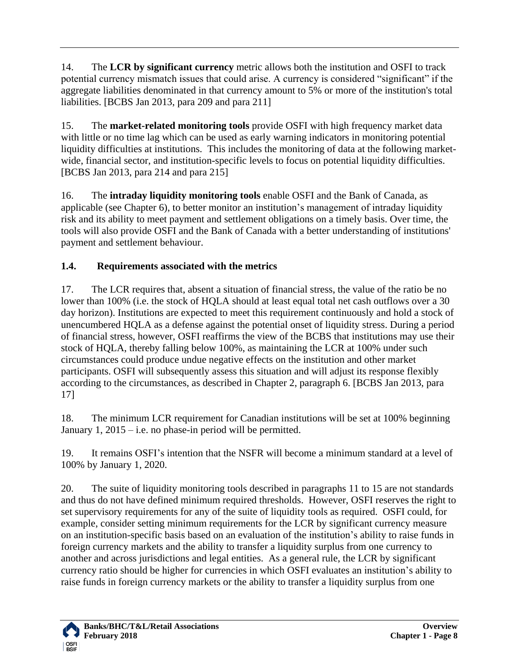14. The **LCR by significant currency** metric allows both the institution and OSFI to track potential currency mismatch issues that could arise. A currency is considered "significant" if the aggregate liabilities denominated in that currency amount to 5% or more of the institution's total liabilities. [BCBS Jan 2013, para 209 and para 211]

15. The **market-related monitoring tools** provide OSFI with high frequency market data with little or no time lag which can be used as early warning indicators in monitoring potential liquidity difficulties at institutions. This includes the monitoring of data at the following marketwide, financial sector, and institution-specific levels to focus on potential liquidity difficulties. [BCBS Jan 2013, para 214 and para 215]

16. The **intraday liquidity monitoring tools** enable OSFI and the Bank of Canada, as applicable (see Chapter 6), to better monitor an institution's management of intraday liquidity risk and its ability to meet payment and settlement obligations on a timely basis. Over time, the tools will also provide OSFI and the Bank of Canada with a better understanding of institutions' payment and settlement behaviour.

#### <span id="page-7-0"></span>**1.4. Requirements associated with the metrics**

17. The LCR requires that, absent a situation of financial stress, the value of the ratio be no lower than 100% (i.e. the stock of HQLA should at least equal total net cash outflows over a 30 day horizon). Institutions are expected to meet this requirement continuously and hold a stock of unencumbered HQLA as a defense against the potential onset of liquidity stress. During a period of financial stress, however, OSFI reaffirms the view of the BCBS that institutions may use their stock of HQLA, thereby falling below 100%, as maintaining the LCR at 100% under such circumstances could produce undue negative effects on the institution and other market participants. OSFI will subsequently assess this situation and will adjust its response flexibly according to the circumstances, as described in Chapter 2, paragraph 6. [BCBS Jan 2013, para 17]

18. The minimum LCR requirement for Canadian institutions will be set at 100% beginning January  $1, 2015$  – i.e. no phase-in period will be permitted.

19. It remains OSFI's intention that the NSFR will become a minimum standard at a level of 100% by January 1, 2020.

20. The suite of liquidity monitoring tools described in paragraphs 11 to 15 are not standards and thus do not have defined minimum required thresholds. However, OSFI reserves the right to set supervisory requirements for any of the suite of liquidity tools as required. OSFI could, for example, consider setting minimum requirements for the LCR by significant currency measure on an institution-specific basis based on an evaluation of the institution's ability to raise funds in foreign currency markets and the ability to transfer a liquidity surplus from one currency to another and across jurisdictions and legal entities. As a general rule, the LCR by significant currency ratio should be higher for currencies in which OSFI evaluates an institution's ability to raise funds in foreign currency markets or the ability to transfer a liquidity surplus from one

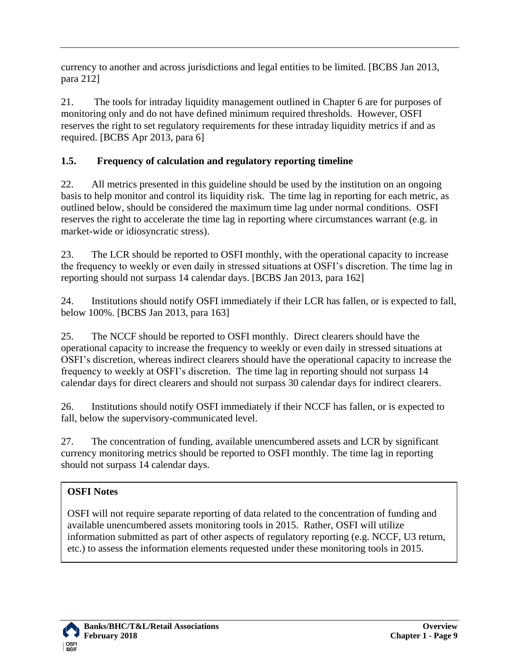currency to another and across jurisdictions and legal entities to be limited. [BCBS Jan 2013, para 212]

21. The tools for intraday liquidity management outlined in Chapter 6 are for purposes of monitoring only and do not have defined minimum required thresholds. However, OSFI reserves the right to set regulatory requirements for these intraday liquidity metrics if and as required. [BCBS Apr 2013, para 6]

#### <span id="page-8-0"></span>**1.5. Frequency of calculation and regulatory reporting timeline**

22. All metrics presented in this guideline should be used by the institution on an ongoing basis to help monitor and control its liquidity risk. The time lag in reporting for each metric, as outlined below, should be considered the maximum time lag under normal conditions. OSFI reserves the right to accelerate the time lag in reporting where circumstances warrant (e.g. in market-wide or idiosyncratic stress).

23. The LCR should be reported to OSFI monthly, with the operational capacity to increase the frequency to weekly or even daily in stressed situations at OSFI's discretion. The time lag in reporting should not surpass 14 calendar days. [BCBS Jan 2013, para 162]

24. Institutions should notify OSFI immediately if their LCR has fallen, or is expected to fall, below 100%. [BCBS Jan 2013, para 163]

25. The NCCF should be reported to OSFI monthly. Direct clearers should have the operational capacity to increase the frequency to weekly or even daily in stressed situations at OSFI's discretion, whereas indirect clearers should have the operational capacity to increase the frequency to weekly at OSFI's discretion. The time lag in reporting should not surpass 14 calendar days for direct clearers and should not surpass 30 calendar days for indirect clearers.

26. Institutions should notify OSFI immediately if their NCCF has fallen, or is expected to fall, below the supervisory-communicated level.

27. The concentration of funding, available unencumbered assets and LCR by significant currency monitoring metrics should be reported to OSFI monthly. The time lag in reporting should not surpass 14 calendar days.

#### **OSFI Notes**

OSFI will not require separate reporting of data related to the concentration of funding and available unencumbered assets monitoring tools in 2015. Rather, OSFI will utilize information submitted as part of other aspects of regulatory reporting (e.g. NCCF, U3 return, etc.) to assess the information elements requested under these monitoring tools in 2015.